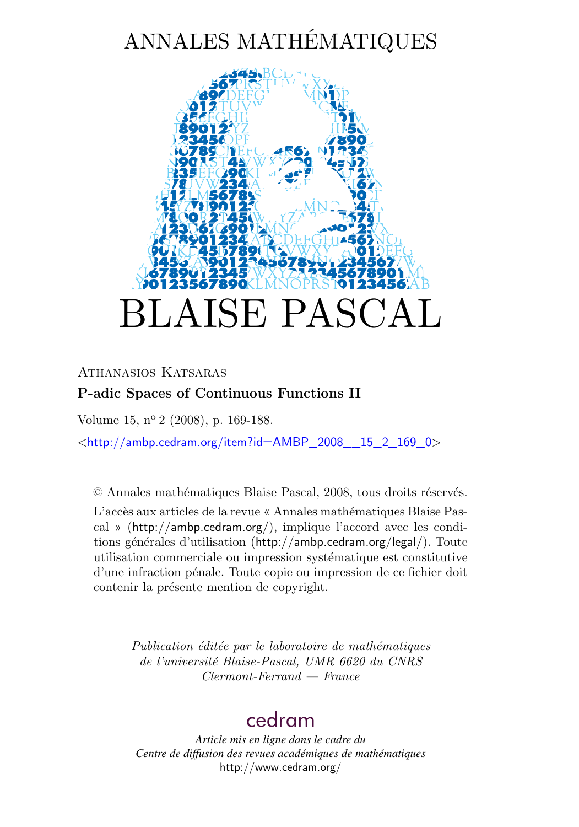# ANNALES MATHÉMATIQUES



### ATHANASIOS KATSARAS **P-adic Spaces of Continuous Functions II**

Volume 15, nº 2 (2008), p. 169-188.

 $\lt$ [http://ambp.cedram.org/item?id=AMBP\\_2008\\_\\_15\\_2\\_169\\_0](http://ambp.cedram.org/item?id=AMBP_2008__15_2_169_0)>

© Annales mathématiques Blaise Pascal, 2008, tous droits réservés.

L'accès aux articles de la revue « Annales mathématiques Blaise Pascal » (<http://ambp.cedram.org/>), implique l'accord avec les conditions générales d'utilisation (<http://ambp.cedram.org/legal/>). Toute utilisation commerciale ou impression systématique est constitutive d'une infraction pénale. Toute copie ou impression de ce fichier doit contenir la présente mention de copyright.

> *Publication éditée par le laboratoire de mathématiques de l'université Blaise-Pascal, UMR 6620 du CNRS Clermont-Ferrand — France*

# [cedram](http://www.cedram.org/)

*Article mis en ligne dans le cadre du Centre de diffusion des revues académiques de mathématiques* <http://www.cedram.org/>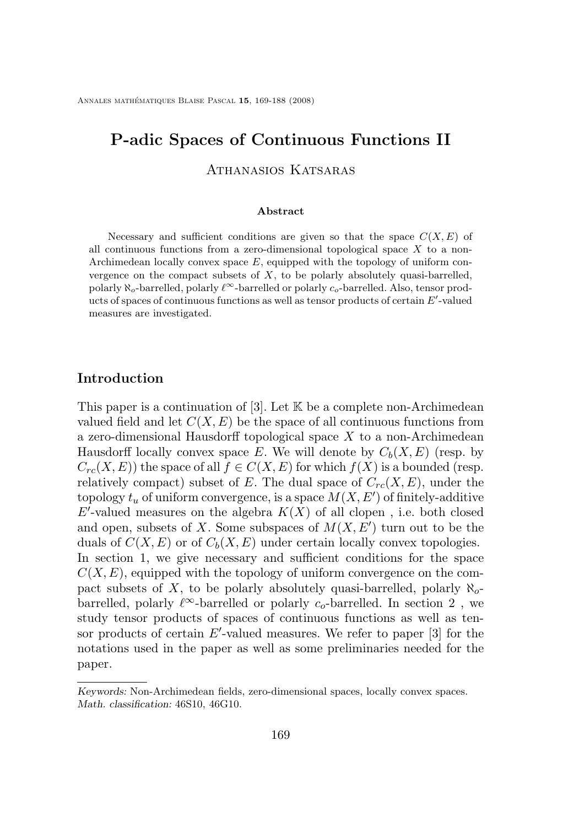## **P-adic Spaces of Continuous Functions II**

Athanasios Katsaras

#### **Abstract**

Necessary and sufficient conditions are given so that the space  $C(X, E)$  of all continuous functions from a zero-dimensional topological space  $X$  to a non-Archimedean locally convex space  $E$ , equipped with the topology of uniform convergence on the compact subsets of  $X$ , to be polarly absolutely quasi-barrelled, polarly  $\aleph_o$ -barrelled, polarly  $\ell^{\infty}$ -barrelled or polarly  $c_o$ -barrelled. Also, tensor products of spaces of continuous functions as well as tensor products of certain  $E'$ -valued measures are investigated.

#### **Introduction**

This paper is a continuation of  $[3]$ . Let  $\mathbb K$  be a complete non-Archimedean valued field and let  $C(X, E)$  be the space of all continuous functions from a zero-dimensional Hausdorff topological space X to a non-Archimedean Hausdorff locally convex space E. We will denote by  $C_b(X, E)$  (resp. by  $C_{rc}(X, E)$ ) the space of all  $f \in C(X, E)$  for which  $f(X)$  is a bounded (resp. relatively compact) subset of E. The dual space of  $C_{rc}(X, E)$ , under the topology  $t_u$  of uniform convergence, is a space  $M(X, E')$  of finitely-additive  $E'$ -valued measures on the algebra  $K(X)$  of all clopen, i.e. both closed and open, subsets of X. Some subspaces of  $M(X, E')$  turn out to be the duals of  $C(X, E)$  or of  $C<sub>b</sub>(X, E)$  under certain locally convex topologies. In section 1, we give necessary and sufficient conditions for the space  $C(X, E)$ , equipped with the topology of uniform convergence on the compact subsets of X, to be polarly absolutely quasi-barrelled, polarly  $\aleph_{o}$ barrelled, polarly  $\ell^{\infty}$ -barrelled or polarly  $c_o$ -barrelled. In section 2, we study tensor products of spaces of continuous functions as well as tensor products of certain  $E'$ -valued measures. We refer to paper [\[3\]](#page-20-0) for the notations used in the paper as well as some preliminaries needed for the paper.

*Keywords:* Non-Archimedean fields, zero-dimensional spaces, locally convex spaces. *Math. classification:* 46S10, 46G10.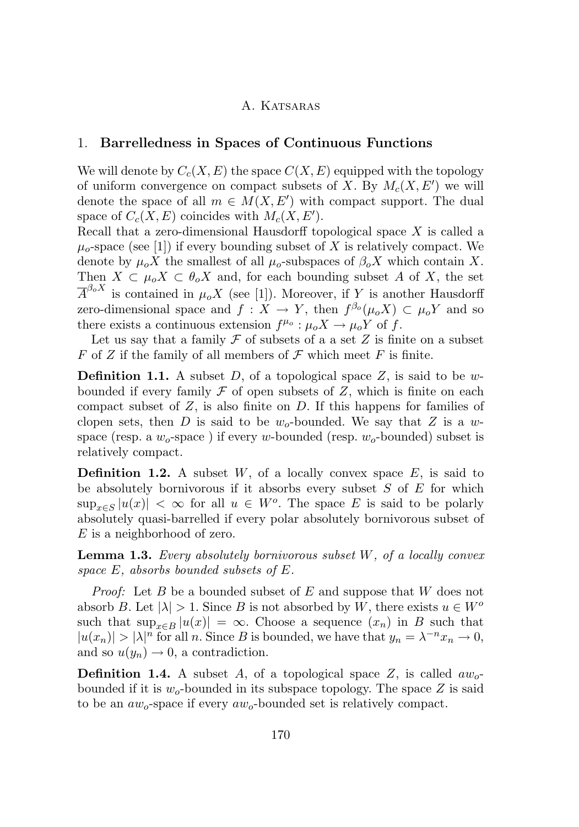#### 1. **Barrelledness in Spaces of Continuous Functions**

We will denote by  $C_c(X, E)$  the space  $C(X, E)$  equipped with the topology of uniform convergence on compact subsets of X. By  $M_c(X, E')$  we will denote the space of all  $m \in M(X, E')$  with compact support. The dual space of  $C_c(X, E)$  coincides with  $M_c(X, E')$ .

Recall that a zero-dimensional Hausdorff topological space  $X$  is called a  $\mu_0$ -space (see [\[1\]](#page-19-0)) if every bounding subset of X is relatively compact. We denote by  $\mu_o X$  the smallest of all  $\mu_o$ -subspaces of  $\beta_o X$  which contain X. Then  $X \subset \mu_0 X \subset \theta_0 X$  and, for each bounding subset A of X, the set  $\overline{A}^{\beta_o X}$  is contained in  $\mu_o X$  (see [\[1\]](#page-19-0)). Moreover, if Y is another Hausdorff zero-dimensional space and  $f: X \to Y$ , then  $f^{\beta_o}(\mu_o X) \subset \mu_o Y$  and so there exists a continuous extension  $f^{\mu_o}$ :  $\mu_o X \to \mu_o Y$  of f.

Let us say that a family  $\mathcal F$  of subsets of a a set  $Z$  is finite on a subset F of Z if the family of all members of  $\mathcal F$  which meet F is finite.

**Definition 1.1.** A subset  $D$ , of a topological space  $Z$ , is said to be wbounded if every family  $\mathcal F$  of open subsets of  $Z$ , which is finite on each compact subset of  $Z$ , is also finite on  $D$ . If this happens for families of clopen sets, then D is said to be  $w_0$ -bounded. We say that Z is a wspace (resp. a  $w_0$ -space) if every w-bounded (resp.  $w_0$ -bounded) subset is relatively compact.

**Definition 1.2.** A subset  $W$ , of a locally convex space  $E$ , is said to be absolutely bornivorous if it absorbs every subset  $S$  of  $E$  for which  $\sup_{x \in S} |u(x)| < \infty$  for all  $u \in W$ <sup>o</sup>. The space E is said to be polarly absolutely quasi-barrelled if every polar absolutely bornivorous subset of E is a neighborhood of zero.

**Lemma 1.3.** *Every absolutely bornivorous subset* W*, of a locally convex space* E*, absorbs bounded subsets of* E*.*

*Proof:* Let B be a bounded subset of E and suppose that W does not absorb B. Let  $|\lambda| > 1$ . Since B is not absorbed by W, there exists  $u \in W^o$ such that  $\sup_{x \in B} |u(x)| = \infty$ . Choose a sequence  $(x_n)$  in B such that  $|u(x_n)| > |\lambda|^n$  for all n. Since B is bounded, we have that  $y_n = \lambda^{-n}x_n \to 0$ , and so  $u(y_n) \to 0$ , a contradiction.

**Definition 1.4.** A subset A, of a topological space Z, is called  $aw_0$ bounded if it is  $w_0$ -bounded in its subspace topology. The space Z is said to be an  $aw<sub>o</sub>$ -space if every  $aw<sub>o</sub>$ -bounded set is relatively compact.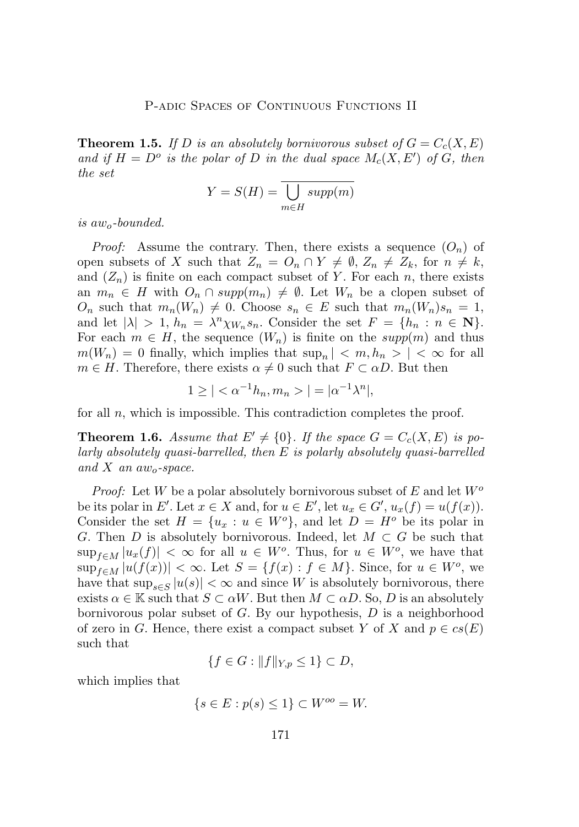**Theorem 1.5.** If D is an absolutely bornivorous subset of  $G = C<sub>c</sub>(X, E)$ and if  $H = D^o$  is the polar of D in the dual space  $M_c(X, E')$  of G, then *the set*

$$
Y = S(H) = \overline{\bigcup_{m \in H} supp(m)}
$$

*is* awo*-bounded.*

*Proof:* Assume the contrary. Then, there exists a sequence  $(O_n)$  of open subsets of X such that  $Z_n = O_n \cap Y \neq \emptyset$ ,  $Z_n \neq Z_k$ , for  $n \neq k$ , and  $(Z_n)$  is finite on each compact subset of Y. For each n, there exists an  $m_n \in H$  with  $O_n \cap supp(m_n) \neq \emptyset$ . Let  $W_n$  be a clopen subset of  $O_n$  such that  $m_n(W_n) \neq 0$ . Choose  $s_n \in E$  such that  $m_n(W_n)s_n = 1$ , and let  $|\lambda| > 1$ ,  $h_n = \lambda^n \chi_{W_n} s_n$ . Consider the set  $F = \{h_n : n \in \mathbb{N}\}.$ For each  $m \in H$ , the sequence  $(W_n)$  is finite on the  $supp(m)$  and thus  $m(W_n) = 0$  finally, which implies that  $\sup_n | \langle m, h_n \rangle | \langle \infty \rangle$  for all  $m \in H$ . Therefore, there exists  $\alpha \neq 0$  such that  $F \subset \alpha D$ . But then

$$
1 \ge | < \alpha^{-1} h_n, m_n > | = |\alpha^{-1} \lambda^n|,
$$

for all  $n$ , which is impossible. This contradiction completes the proof.

**Theorem 1.6.** Assume that  $E' \neq \{0\}$ . If the space  $G = C_c(X, E)$  is po*larly absolutely quasi-barrelled, then* E *is polarly absolutely quasi-barrelled and* X *an* awo*-space.*

*Proof:* Let W be a polar absolutely bornivorous subset of E and let  $W^o$ be its polar in E'. Let  $x \in X$  and, for  $u \in E'$ , let  $u_x \in G'$ ,  $u_x(f) = u(f(x))$ . Consider the set  $H = \{u_x : u \in W^o\}$ , and let  $D = H^o$  be its polar in G. Then D is absolutely bornivorous. Indeed, let  $M \subset G$  be such that  $\sup_{f\in M}|u_x(f)| < \infty$  for all  $u \in W^o$ . Thus, for  $u \in W^o$ , we have that  $\sup_{f\in M}|u(f(x))|<\infty.$  Let  $S=\{f(x): f\in M\}$ . Since, for  $u\in W^o$ , we have that  $\sup_{s \in S} |u(s)| < \infty$  and since W is absolutely bornivorous, there exists  $\alpha \in \mathbb{K}$  such that  $S \subset \alpha W$ . But then  $M \subset \alpha D$ . So, D is an absolutely bornivorous polar subset of  $G$ . By our hypothesis,  $D$  is a neighborhood of zero in G. Hence, there exist a compact subset Y of X and  $p \in cs(E)$ such that

$$
\{f \in G : ||f||_{Y,p} \le 1\} \subset D,
$$

which implies that

$$
\{s \in E : p(s) \le 1\} \subset W^{oo} = W.
$$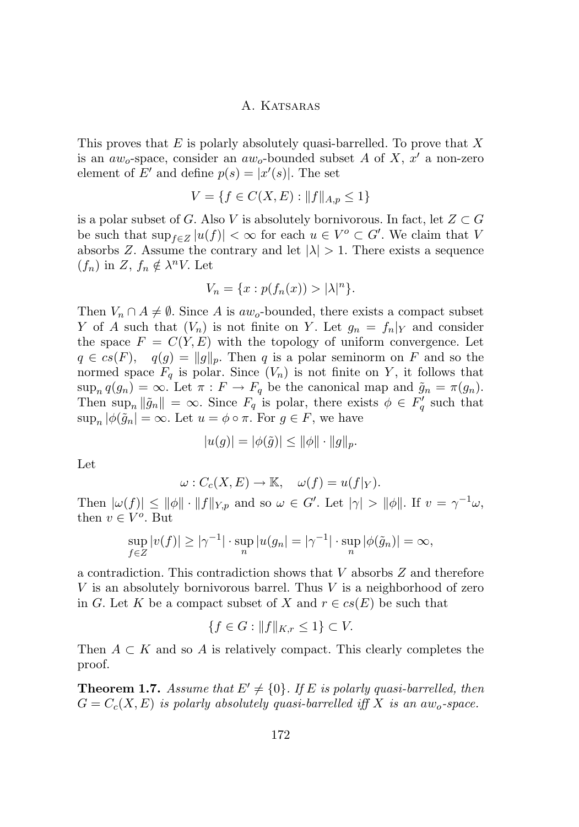This proves that  $E$  is polarly absolutely quasi-barrelled. To prove that X is an  $aw_o$ -space, consider an  $aw_o$ -bounded subset A of X, x' a non-zero element of E' and define  $p(s) = |x'(s)|$ . The set

$$
V = \{ f \in C(X, E) : ||f||_{A, p} \le 1 \}
$$

is a polar subset of G. Also V is absolutely bornivorous. In fact, let  $Z \subset G$ be such that  $\sup_{f\in\mathbb{Z}}|u(f)|<\infty$  for each  $u\in V^o\subset G'.$  We claim that V absorbs Z. Assume the contrary and let  $|\lambda| > 1$ . There exists a sequence  $(f_n)$  in Z,  $f_n \notin \lambda^n V$ . Let

$$
V_n = \{x : p(f_n(x)) > |\lambda|^n\}.
$$

Then  $V_n \cap A \neq \emptyset$ . Since A is aw<sub>o</sub>-bounded, there exists a compact subset Y of A such that  $(V_n)$  is not finite on Y. Let  $g_n = f_n|_Y$  and consider the space  $F = C(Y, E)$  with the topology of uniform convergence. Let  $q \in cs(F)$ ,  $q(g) = ||g||_p$ . Then q is a polar seminorm on F and so the normed space  $F_q$  is polar. Since  $(V_n)$  is not finite on Y, it follows that  $\sup_n q(g_n) = \infty$ . Let  $\pi : F \to F_q$  be the canonical map and  $\tilde{g}_n = \pi(g_n)$ . Then  $\sup_n ||\tilde{g}_n|| = \infty$ . Since  $F_q$  is polar, there exists  $\phi \in F'_q$  such that  $\sup_n |\phi(\tilde{g}_n| = \infty.$  Let  $u = \phi \circ \pi$ . For  $g \in F$ , we have

$$
|u(g)| = |\phi(\tilde{g})| \le ||\phi|| \cdot ||g||_p.
$$

Let

$$
\omega: C_c(X, E) \to \mathbb{K}, \quad \omega(f) = u(f|_Y).
$$

Then  $|\omega(f)| \le ||\phi|| \cdot ||f||_{Y,p}$  and so  $\omega \in G'$ . Let  $|\gamma| > ||\phi||$ . If  $v = \gamma^{-1}\omega$ , then  $v \in V^o$ . But

$$
\sup_{f\in Z} |v(f)| \ge |\gamma^{-1}| \cdot \sup_n |u(g_n)| = |\gamma^{-1}| \cdot \sup_n |\phi(\tilde{g}_n)| = \infty,
$$

a contradiction. This contradiction shows that V absorbs Z and therefore V is an absolutely bornivorous barrel. Thus  $V$  is a neighborhood of zero in G. Let K be a compact subset of X and  $r \in cs(E)$  be such that

$$
\{f \in G : ||f||_{K,r} \le 1\} \subset V.
$$

Then  $A \subset K$  and so A is relatively compact. This clearly completes the proof.

**Theorem 1.7.** *Assume that*  $E' \neq \{0\}$ *. If* E *is polarly quasi-barrelled, then*  $G = C_c(X, E)$  *is polarly absolutely quasi-barrelled iff* X *is an aw<sub>o</sub>-space.*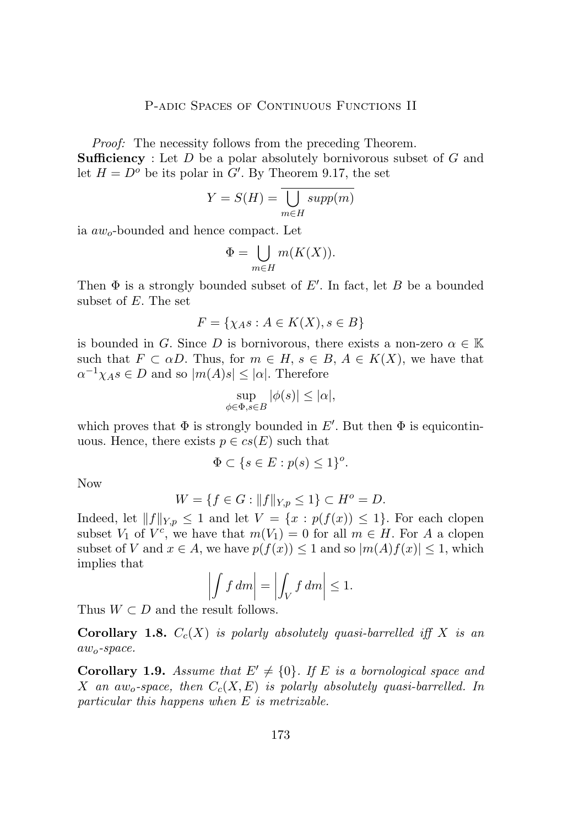*Proof:* The necessity follows from the preceding Theorem. **Sufficiency** : Let D be a polar absolutely bornivorous subset of G and let  $H = D^o$  be its polar in G'. By Theorem 9.17, the set

$$
Y = S(H) = \bigcup_{m \in H} supp(m)
$$

ia  $aw<sub>o</sub>$ -bounded and hence compact. Let

$$
\Phi = \bigcup_{m \in H} m(K(X)).
$$

Then  $\Phi$  is a strongly bounded subset of  $E'$ . In fact, let B be a bounded subset of E. The set

$$
F = \{ \chi_A s : A \in K(X), s \in B \}
$$

is bounded in G. Since D is bornivorous, there exists a non-zero  $\alpha \in \mathbb{K}$ such that  $F \subset \alpha D$ . Thus, for  $m \in H$ ,  $s \in B$ ,  $A \in K(X)$ , we have that  $\alpha^{-1}\chi_A s \in D$  and so  $|m(A)s| \leq |\alpha|$ . Therefore

$$
\sup_{\phi \in \Phi, s \in B} |\phi(s)| \le |\alpha|,
$$

which proves that  $\Phi$  is strongly bounded in E'. But then  $\Phi$  is equicontinuous. Hence, there exists  $p \in cs(E)$  such that

$$
\Phi \subset \{ s \in E : p(s) \le 1 \}^o.
$$

Now

$$
W = \{ f \in G : ||f||_{Y,p} \le 1 \} \subset H^o = D.
$$

Indeed, let  $||f||_{Y,p} \leq 1$  and let  $V = \{x : p(f(x)) \leq 1\}$ . For each clopen subset  $V_1$  of  $V^c$ , we have that  $m(V_1) = 0$  for all  $m \in H$ . For A a clopen subset of V and  $x \in A$ , we have  $p(f(x)) \leq 1$  and so  $|m(A)f(x)| \leq 1$ , which implies that

$$
\left| \int f \, dm \right| = \left| \int_V f \, dm \right| \le 1.
$$

Thus  $W \subset D$  and the result follows.

**Corollary 1.8.**  $C_c(X)$  *is polarly absolutely quasi-barrelled iff* X *is an* awo*-space.*

**Corollary 1.9.** *Assume that*  $E' \neq \{0\}$ *. If* E *is a bornological space and* X an aw<sub>o</sub>-space, then  $C_c(X, E)$  is polarly absolutely quasi-barrelled. In *particular this happens when* E *is metrizable.*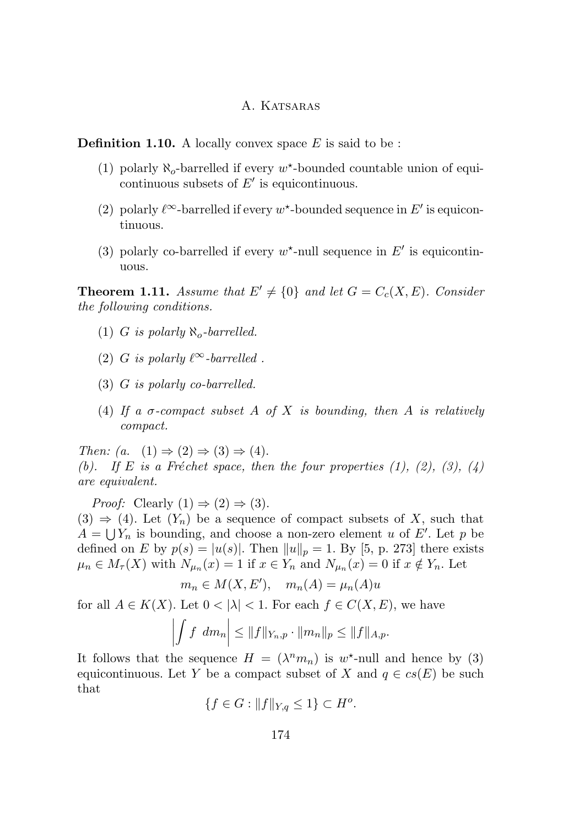**Definition 1.10.** A locally convex space  $E$  is said to be :

- (1) polarly  $\aleph_o$ -barrelled if every  $w^*$ -bounded countable union of equicontinuous subsets of  $E'$  is equicontinuous.
- (2) polarly  $\ell^{\infty}$ -barrelled if every w<sup>\*</sup>-bounded sequence in E' is equicontinuous.
- (3) polarly co-barrelled if every  $w^*$ -null sequence in  $E'$  is equicontinuous.

**Theorem 1.11.** *Assume that*  $E' \neq \{0\}$  *and let*  $G = C_c(X, E)$ *. Consider the following conditions.*

- $(1)$  *G is polarly*  $\aleph_o$ -barrelled.
- (2) G *is polarly*  $\ell^{\infty}$ *-barrelled .*
- (3) G *is polarly co-barrelled.*
- (4) *If a* σ*-compact subset* A *of* X *is bounding, then* A *is relatively compact.*

*Then:*  $(a. (1) \Rightarrow (2) \Rightarrow (3) \Rightarrow (4)$ . *(b).* If E is a Fréchet space, then the four properties  $(1)$ ,  $(2)$ ,  $(3)$ ,  $(4)$ *are equivalent.*

*Proof:* Clearly  $(1) \Rightarrow (2) \Rightarrow (3)$ .  $(3) \Rightarrow (4)$ . Let  $(Y_n)$  be a sequence of compact subsets of X, such that  $A = \bigcup Y_n$  is bounding, and choose a non-zero element u of E'. Let p be defined on E by  $p(s) = |u(s)|$ . Then  $||u||_p = 1$ . By [\[5,](#page-20-0) p. 273] there exists  $\mu_n \in M_\tau(X)$  with  $N_{\mu_n}(x) = 1$  if  $x \in Y_n$  and  $N_{\mu_n}(x) = 0$  if  $x \notin Y_n$ . Let

$$
m_n \in M(X, E'), \quad m_n(A) = \mu_n(A)u
$$

for all  $A \in K(X)$ . Let  $0 < |\lambda| < 1$ . For each  $f \in C(X, E)$ , we have

$$
\left| \int f \ dm_n \right| \leq \|f\|_{Y_n, p} \cdot \|m_n\|_p \leq \|f\|_{A, p}.
$$

It follows that the sequence  $H = (\lambda^n m_n)$  is  $w^*$ -null and hence by (3) equicontinuous. Let Y be a compact subset of X and  $q \in cs(E)$  be such that

$$
\{f \in G : ||f||_{Y,q} \le 1\} \subset H^o.
$$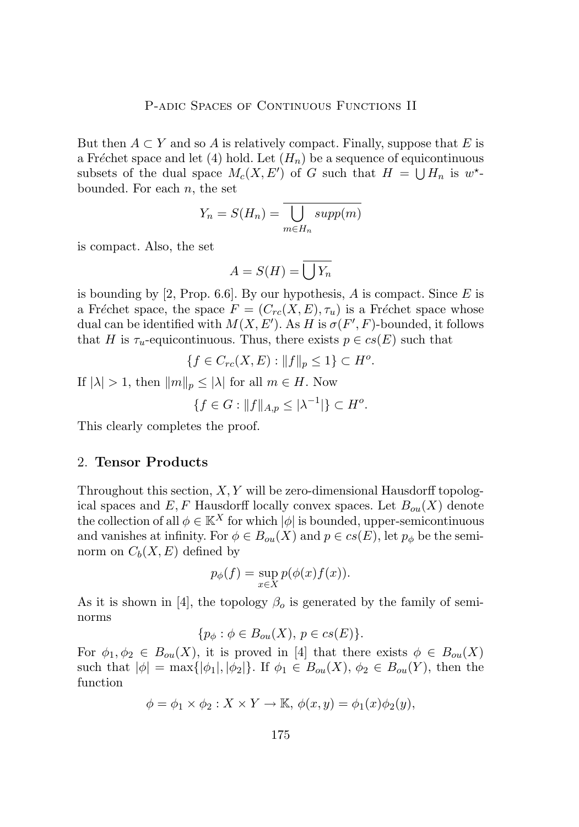But then  $A \subset Y$  and so A is relatively compact. Finally, suppose that E is a Fréchet space and let (4) hold. Let  $(H_n)$  be a sequence of equicontinuous subsets of the dual space  $M_c(X, E')$  of G such that  $H = \bigcup H_n$  is  $w^*$ bounded. For each  $n$ , the set

$$
Y_n = S(H_n) = \overline{\bigcup_{m \in H_n} supp(m)}
$$

is compact. Also, the set

$$
A = S(H) = \overline{\bigcup Y_n}
$$

is bounding by [\[2,](#page-19-0) Prop. 6.6]. By our hypothesis, A is compact. Since E is a Fréchet space, the space  $F = (C_{rc}(X, E), \tau_u)$  is a Fréchet space whose dual can be identified with  $M(X, E')$ . As H is  $\sigma(F', F)$ -bounded, it follows that H is  $\tau_u$ -equicontinuous. Thus, there exists  $p \in cs(E)$  such that

$$
\{f \in C_{rc}(X,E) : ||f||_p \le 1\} \subset H^o.
$$

If  $|\lambda| > 1$ , then  $||m||_p \leq |\lambda|$  for all  $m \in H$ . Now

$$
\{f \in G : ||f||_{A,p} \le |\lambda^{-1}| \} \subset H^o.
$$

This clearly completes the proof.

#### 2. **Tensor Products**

Throughout this section,  $X, Y$  will be zero-dimensional Hausdorff topological spaces and  $E, F$  Hausdorff locally convex spaces. Let  $B_{ou}(X)$  denote the collection of all  $\phi \in \mathbb{K}^X$  for which  $|\phi|$  is bounded, upper-semicontinuous and vanishes at infinity. For  $\phi \in B_{ou}(X)$  and  $p \in cs(E)$ , let  $p_{\phi}$  be the seminorm on  $C_b(X, E)$  defined by

$$
p_{\phi}(f) = \sup_{x \in X} p(\phi(x)f(x)).
$$

As it is shown in [\[4\]](#page-20-0), the topology  $\beta_o$  is generated by the family of seminorms

$$
\{p_{\phi} : \phi \in B_{ou}(X), \ p \in cs(E)\}.
$$

For  $\phi_1, \phi_2 \in B_{ou}(X)$ , it is proved in [\[4\]](#page-20-0) that there exists  $\phi \in B_{ou}(X)$ such that  $|\phi| = \max{\{\phi_1, \phi_2\}}$ . If  $\phi_1 \in B_{ou}(X), \phi_2 \in B_{ou}(Y)$ , then the function

$$
\phi = \phi_1 \times \phi_2 : X \times Y \to \mathbb{K}, \phi(x, y) = \phi_1(x)\phi_2(y),
$$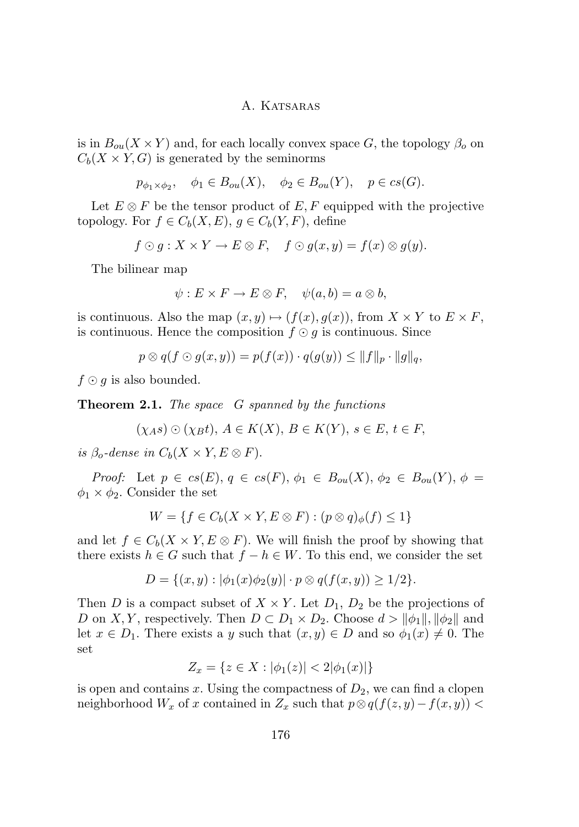is in  $B_{\alpha\mu}(X \times Y)$  and, for each locally convex space G, the topology  $\beta_0$  on  $C_b(X \times Y, G)$  is generated by the seminorms

$$
p_{\phi_1 \times \phi_2}, \quad \phi_1 \in B_{ou}(X), \quad \phi_2 \in B_{ou}(Y), \quad p \in cs(G).
$$

Let  $E \otimes F$  be the tensor product of  $E, F$  equipped with the projective topology. For  $f \in C_b(X, E)$ ,  $g \in C_b(Y, F)$ , define

$$
f \odot g : X \times Y \to E \otimes F, \quad f \odot g(x, y) = f(x) \otimes g(y).
$$

The bilinear map

$$
\psi: E \times F \to E \otimes F, \quad \psi(a, b) = a \otimes b,
$$

is continuous. Also the map  $(x, y) \mapsto (f(x), g(x))$ , from  $X \times Y$  to  $E \times F$ , is continuous. Hence the composition  $f \odot q$  is continuous. Since

$$
p \otimes q(f \odot g(x, y)) = p(f(x)) \cdot q(g(y)) \leq ||f||_p \cdot ||g||_q,
$$

 $f \odot g$  is also bounded.

**Theorem 2.1.** *The space* G *spanned by the functions*

$$
(\chi_A s) \odot (\chi_B t), A \in K(X), B \in K(Y), s \in E, t \in F,
$$

*is*  $\beta_o$ -dense in  $C_b(X \times Y, E \otimes F)$ .

*Proof:* Let  $p \in cs(E), q \in cs(F), \phi_1 \in B_{ou}(X), \phi_2 \in B_{ou}(Y), \phi =$  $\phi_1 \times \phi_2$ . Consider the set

$$
W = \{ f \in C_b(X \times Y, E \otimes F) : (p \otimes q)_{\phi}(f) \le 1 \}
$$

and let  $f \in C_b(X \times Y, E \otimes F)$ . We will finish the proof by showing that there exists  $h \in G$  such that  $f - h \in W$ . To this end, we consider the set

$$
D = \{(x, y) : |\phi_1(x)\phi_2(y)| \cdot p \otimes q(f(x, y)) \ge 1/2\}.
$$

Then D is a compact subset of  $X \times Y$ . Let  $D_1$ ,  $D_2$  be the projections of D on X, Y, respectively. Then  $D \subset D_1 \times D_2$ . Choose  $d > ||\phi_1||, ||\phi_2||$  and let  $x \in D_1$ . There exists a y such that  $(x, y) \in D$  and so  $\phi_1(x) \neq 0$ . The set

$$
Z_x = \{ z \in X : |\phi_1(z)| < 2|\phi_1(x)| \}
$$

is open and contains x. Using the compactness of  $D_2$ , we can find a clopen neighborhood  $W_x$  of x contained in  $Z_x$  such that  $p \otimes q(f(z, y) - f(x, y))$  <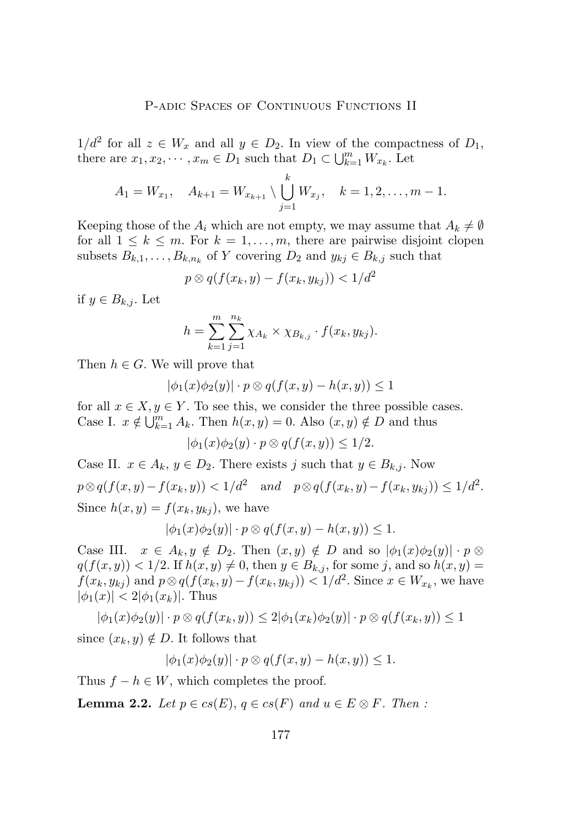$1/d^2$  for all  $z \in W_x$  and all  $y \in D_2$ . In view of the compactness of  $D_1$ , there are  $x_1, x_2, \dots, x_m \in D_1$  such that  $D_1 \subset \bigcup_{k=1}^m W_{x_k}$ . Let

$$
A_1 = W_{x_1}, \quad A_{k+1} = W_{x_{k+1}} \setminus \bigcup_{j=1}^k W_{x_j}, \quad k = 1, 2, \dots, m-1.
$$

Keeping those of the  $A_i$  which are not empty, we may assume that  $A_k \neq \emptyset$ for all  $1 \leq k \leq m$ . For  $k = 1, \ldots, m$ , there are pairwise disjoint clopen subsets  $B_{k,1}, \ldots, B_{k,n_k}$  of Y covering  $D_2$  and  $y_{kj} \in B_{k,j}$  such that

$$
p \otimes q(f(x_k, y) - f(x_k, y_{kj})) < 1/d^2
$$

if  $y \in B_{k,j}$ . Let

$$
h = \sum_{k=1}^{m} \sum_{j=1}^{n_k} \chi_{A_k} \times \chi_{B_{k,j}} \cdot f(x_k, y_{kj}).
$$

Then  $h \in G$ . We will prove that

$$
|\phi_1(x)\phi_2(y)|\cdot p\otimes q(f(x,y)-h(x,y))\leq 1
$$

for all  $x \in X, y \in Y$ . To see this, we consider the three possible cases. Case I.  $x \notin \bigcup_{k=1}^{m} A_k$ . Then  $h(x, y) = 0$ . Also  $(x, y) \notin D$  and thus

$$
|\phi_1(x)\phi_2(y)\cdot p\otimes q(f(x,y))\leq 1/2.
$$

Case II.  $x \in A_k$ ,  $y \in D_2$ . There exists j such that  $y \in B_{k,j}$ . Now  $p \otimes q(f(x,y) - f(x_k, y)) < 1/d^2$  and  $p \otimes q(f(x_k, y) - f(x_k, y_{kj})) \leq 1/d^2$ . Since  $h(x, y) = f(x_k, y_{kj})$ , we have

$$
|\phi_1(x)\phi_2(y)|\cdot p\otimes q(f(x,y)-h(x,y))\leq 1.
$$

Case III.  $x \in A_k, y \notin D_2$ . Then  $(x, y) \notin D$  and so  $|\phi_1(x)\phi_2(y)| \cdot p \otimes p$  $q(f(x, y)) < 1/2$ . If  $h(x, y) \neq 0$ , then  $y \in B_{k,j}$ , for some j, and so  $h(x, y) =$  $f(x_k, y_{kj})$  and  $p \otimes q(f(x_k, y) - f(x_k, y_{kj})) < 1/d^2$ . Since  $x \in W_{x_k}$ , we have  $|\phi_1(x)| < 2|\phi_1(x_k)|$ . Thus

$$
|\phi_1(x)\phi_2(y)|\cdot p\otimes q(f(x_k,y))\leq 2|\phi_1(x_k)\phi_2(y)|\cdot p\otimes q(f(x_k,y))\leq 1
$$

since  $(x_k, y) \notin D$ . It follows that

$$
|\phi_1(x)\phi_2(y)|\cdot p\otimes q(f(x,y)-h(x,y))\leq 1.
$$

Thus  $f - h \in W$ , which completes the proof.

**Lemma 2.2.** *Let*  $p \in cs(E)$ ,  $q \in cs(F)$  *and*  $u \in E \otimes F$ *. Then* :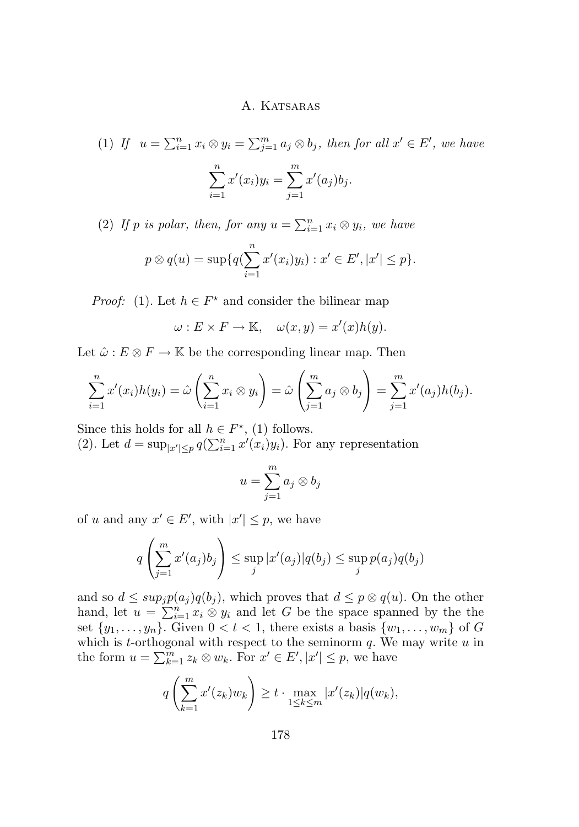(1) If 
$$
u = \sum_{i=1}^{n} x_i \otimes y_i = \sum_{j=1}^{m} a_j \otimes b_j
$$
, then for all  $x' \in E'$ , we have  

$$
\sum_{i=1}^{n} x'(x_i) y_i = \sum_{j=1}^{m} x'(a_j) b_j.
$$

(2) If p is polar, then, for any  $u = \sum_{i=1}^{n} x_i \otimes y_i$ , we have

$$
p \otimes q(u) = \sup \{q(\sum_{i=1}^{n} x'(x_i)y_i) : x' \in E', |x'| \leq p\}.
$$

*Proof:* (1). Let  $h \in F^*$  and consider the bilinear map

 $\omega: E \times F \to \mathbb{K}, \quad \omega(x, y) = x'(x)h(y).$ 

Let  $\hat{\omega}$  :  $E \otimes F \to \mathbb{K}$  be the corresponding linear map. Then

$$
\sum_{i=1}^n x'(x_i)h(y_i) = \hat{\omega}\left(\sum_{i=1}^n x_i \otimes y_i\right) = \hat{\omega}\left(\sum_{j=1}^m a_j \otimes b_j\right) = \sum_{j=1}^m x'(a_j)h(b_j).
$$

Since this holds for all  $h \in F^*$ , (1) follows.

(2). Let  $d = \sup_{|x'| \leq p} q(\sum_{i=1}^n x'(x_i)y_i)$ . For any representation

$$
u = \sum_{j=1}^{m} a_j \otimes b_j
$$

of u and any  $x' \in E'$ , with  $|x'| \leq p$ , we have

$$
q\left(\sum_{j=1}^m x'(a_j)b_j\right) \le \sup_j |x'(a_j)|q(b_j) \le \sup_j p(a_j)q(b_j)
$$

and so  $d \leq sup_j p(a_j)q(b_j)$ , which proves that  $d \leq p \otimes q(u)$ . On the other hand, let  $u = \sum_{i=1}^{n} x_i \otimes y_i$  and let G be the space spanned by the the set  $\{y_1, \ldots, y_n\}$ . Given  $0 < t < 1$ , there exists a basis  $\{w_1, \ldots, w_m\}$  of G which is t-orthogonal with respect to the seminorm  $q$ . We may write  $u$  in the form  $u = \sum_{k=1}^{m} z_k \otimes w_k$ . For  $x' \in E', |x'| \leq p$ , we have

$$
q\left(\sum_{k=1}^m x'(z_k)w_k\right) \ge t \cdot \max_{1 \le k \le m} |x'(z_k)| q(w_k),
$$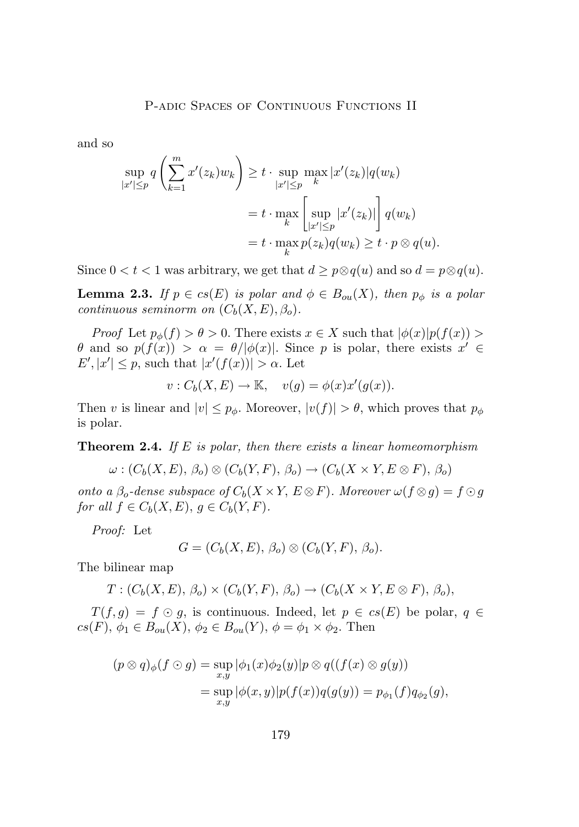and so

$$
\sup_{|x'| \le p} q\left(\sum_{k=1}^m x'(z_k)w_k\right) \ge t \cdot \sup_{|x'| \le p} \max_{k} |x'(z_k)| q(w_k)
$$

$$
= t \cdot \max_{k} \left[\sup_{|x'| \le p} |x'(z_k)|\right] q(w_k)
$$

$$
= t \cdot \max_{k} p(z_k) q(w_k) \ge t \cdot p \otimes q(u).
$$

Since  $0 < t < 1$  was arbitrary, we get that  $d \geq p \otimes q(u)$  and so  $d = p \otimes q(u)$ .

**Lemma 2.3.** *If*  $p \in cs(E)$  *is polar and*  $\phi \in B_{ou}(X)$ *, then*  $p_{\phi}$  *is a polar continuous seminorm on*  $(C_b(X, E), \beta_o)$ .

*Proof* Let  $p_{\phi}(f) > \theta > 0$ . There exists  $x \in X$  such that  $|\phi(x)|p(f(x)) >$ θ and so  $p(f(x)) > \alpha = \theta/|\phi(x)|$ . Since p is polar, there exists  $x' \in$  $E', |x'| \leq p$ , such that  $|x'(f(x))| > \alpha$ . Let

$$
v: C_b(X, E) \to \mathbb{K}, \quad v(g) = \phi(x)x'(g(x)).
$$

Then v is linear and  $|v| \leq p_{\phi}$ . Moreover,  $|v(f)| > \theta$ , which proves that  $p_{\phi}$ is polar.

**Theorem 2.4.** *If* E *is polar, then there exists a linear homeomorphism*

$$
\omega : (C_b(X, E), \beta_o) \otimes (C_b(Y, F), \beta_o) \to (C_b(X \times Y, E \otimes F), \beta_o)
$$

*onto a*  $\beta_o$ -dense subspace of  $C_b(X \times Y, E \otimes F)$ . Moreover  $\omega(f \otimes g) = f \odot g$ *for all*  $f \in C_b(X, E)$ ,  $g \in C_b(Y, F)$ *.* 

*Proof:* Let

$$
G = (C_b(X, E), \beta_o) \otimes (C_b(Y, F), \beta_o).
$$

The bilinear map

$$
T: (C_b(X, E), \beta_o) \times (C_b(Y, F), \beta_o) \to (C_b(X \times Y, E \otimes F), \beta_o),
$$

 $T(f,g) = f \odot g$ , is continuous. Indeed, let  $p \in cs(E)$  be polar,  $q \in$  $cs(F), \phi_1 \in B_{ou}(X), \phi_2 \in B_{ou}(Y), \phi = \phi_1 \times \phi_2.$  Then

$$
(p \otimes q)_{\phi}(f \odot g) = \sup_{x,y} |\phi_1(x)\phi_2(y)|p \otimes q((f(x) \otimes g(y)))
$$
  
= 
$$
\sup_{x,y} |\phi(x,y)|p(f(x))q(g(y)) = p_{\phi_1}(f)q_{\phi_2}(g),
$$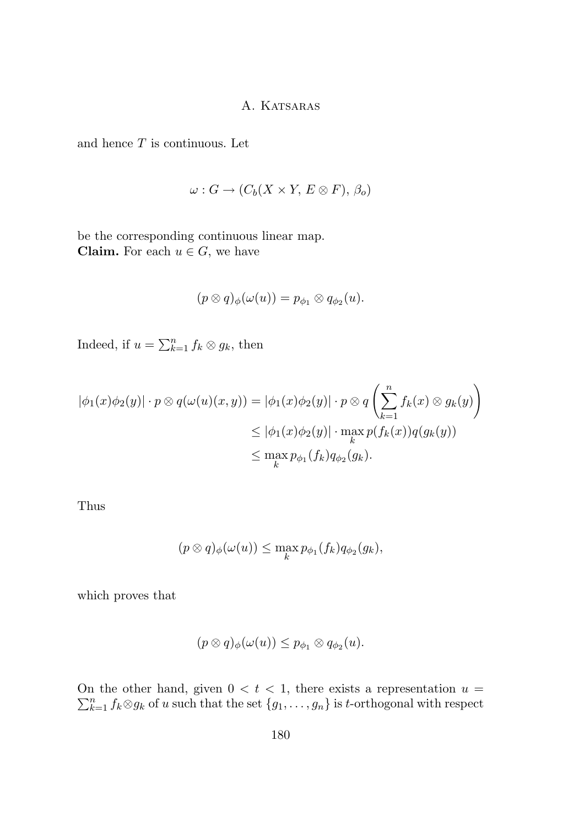and hence  $T$  is continuous. Let

$$
\omega: G \to (C_b(X \times Y, E \otimes F), \beta_o)
$$

be the corresponding continuous linear map. **Claim.** For each  $u \in G$ , we have

$$
(p\otimes q)_\phi(\omega(u))=p_{\phi_1}\otimes q_{\phi_2}(u).
$$

Indeed, if  $u = \sum_{k=1}^n f_k \otimes g_k$ , then

$$
|\phi_1(x)\phi_2(y)| \cdot p \otimes q(\omega(u)(x, y)) = |\phi_1(x)\phi_2(y)| \cdot p \otimes q\left(\sum_{k=1}^n f_k(x) \otimes g_k(y)\right)
$$
  

$$
\leq |\phi_1(x)\phi_2(y)| \cdot \max_k p(f_k(x))q(g_k(y))
$$
  

$$
\leq \max_k p_{\phi_1}(f_k)q_{\phi_2}(g_k).
$$

Thus

$$
(p \otimes q)_{\phi}(\omega(u)) \leq \max_{k} p_{\phi_1}(f_k) q_{\phi_2}(g_k),
$$

which proves that

$$
(p \otimes q)_{\phi}(\omega(u)) \leq p_{\phi_1} \otimes q_{\phi_2}(u).
$$

 $\sum$ On the other hand, given  $0 < t < 1$ , there exists a representation  $u = \sum_{k=1}^{n} f_k \otimes g_k$  of u such that the set  $\{g_1, \ldots, g_n\}$  is t-orthogonal with respect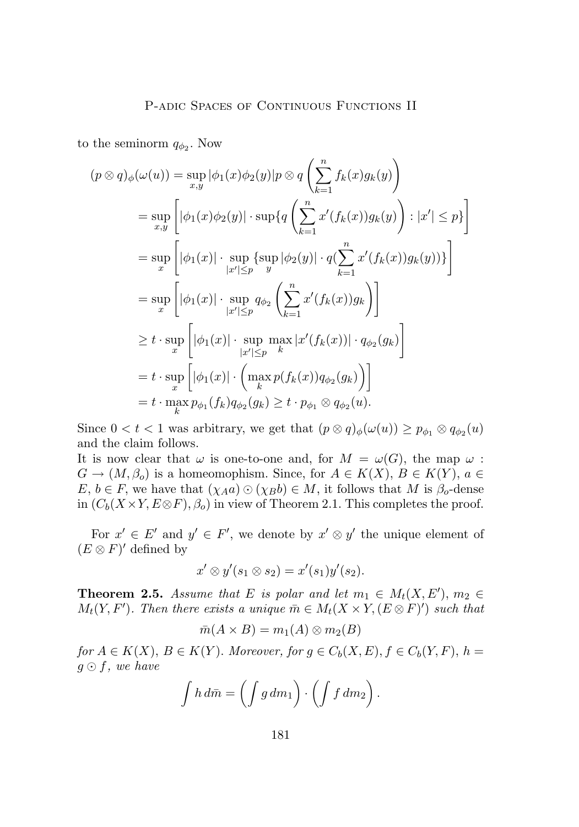to the seminorm  $q_{\phi_2}$ . Now

$$
(p \otimes q)_{\phi}(\omega(u)) = \sup_{x,y} |\phi_1(x)\phi_2(y)|p \otimes q\left(\sum_{k=1}^n f_k(x)g_k(y)\right)
$$
  
\n
$$
= \sup_{x,y} \left[ |\phi_1(x)\phi_2(y)| \cdot \sup\{q\left(\sum_{k=1}^n x'(f_k(x))g_k(y)\right) : |x'| \le p\}\right]
$$
  
\n
$$
= \sup_x \left[ |\phi_1(x)| \cdot \sup_{|x'| \le p} \left\{ \sup_y |\phi_2(y)| \cdot q(\sum_{k=1}^n x'(f_k(x))g_k(y)) \right\} \right]
$$
  
\n
$$
= \sup_x \left[ |\phi_1(x)| \cdot \sup_{|x'| \le p} q_{\phi_2} \left(\sum_{k=1}^n x'(f_k(x))g_k\right) \right]
$$
  
\n
$$
\ge t \cdot \sup_x \left[ |\phi_1(x)| \cdot \sup_{|x'| \le p} \max_{k} |x'(f_k(x))| \cdot q_{\phi_2}(g_k) \right]
$$
  
\n
$$
= t \cdot \sup_x \left[ |\phi_1(x)| \cdot \left( \max_k p(f_k(x)) q_{\phi_2}(g_k) \right) \right]
$$
  
\n
$$
= t \cdot \max_k p_{\phi_1}(f_k) q_{\phi_2}(g_k) \ge t \cdot p_{\phi_1} \otimes q_{\phi_2}(u).
$$

Since  $0 < t < 1$  was arbitrary, we get that  $(p \otimes q)_{\phi}(\omega(u)) \geq p_{\phi_1} \otimes q_{\phi_2}(u)$ and the claim follows.

It is now clear that  $\omega$  is one-to-one and, for  $M = \omega(G)$ , the map  $\omega$ :  $G \to (M, \beta_o)$  is a homeomophism. Since, for  $A \in K(X)$ ,  $B \in K(Y)$ ,  $a \in$  $E, b \in F$ , we have that  $(\chi_{A}a) \odot (\chi_{B}b) \in M$ , it follows that M is  $\beta_{o}$ -dense in  $(C_b(X \times Y, E \otimes F), \beta_o)$  in view of Theorem 2.1. This completes the proof.

For  $x' \in E'$  and  $y' \in F'$ , we denote by  $x' \otimes y'$  the unique element of  $(E \otimes F)'$  defined by

$$
x' \otimes y'(s_1 \otimes s_2) = x'(s_1)y'(s_2).
$$

**Theorem 2.5.** *Assume that* E *is polar and let*  $m_1 \in M_t(X, E')$ ,  $m_2 \in$  $M_t(Y, F')$ . Then there exists a unique  $\bar{m} \in M_t(X \times Y, (E \otimes F)')$  such that

$$
\bar{m}(A \times B) = m_1(A) \otimes m_2(B)
$$

*for*  $A \in K(X)$ ,  $B \in K(Y)$ . *Moreover, for*  $g \in C_b(X, E)$ ,  $f \in C_b(Y, F)$ ,  $h =$  $g \odot f$ , we have

$$
\int h \, d\bar{m} = \left( \int g \, dm_1 \right) \cdot \left( \int f \, dm_2 \right).
$$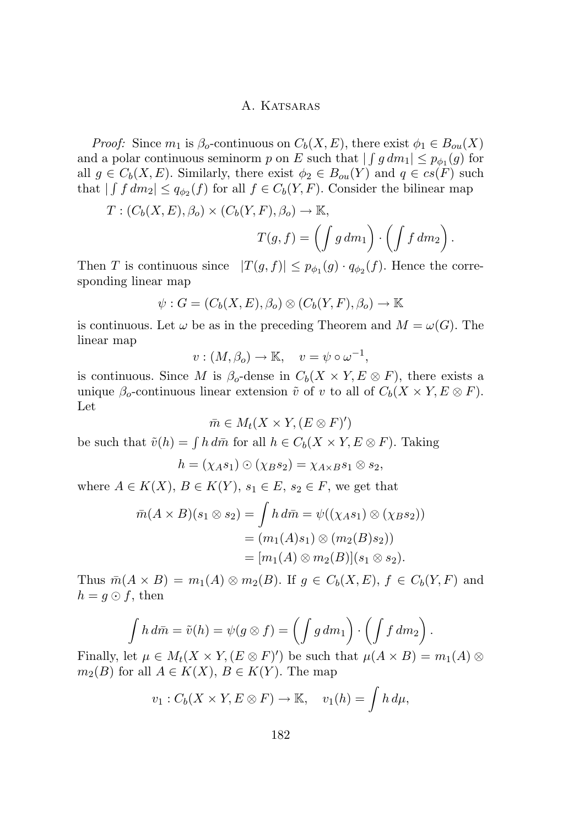*Proof:* Since  $m_1$  is  $\beta_o$ -continuous on  $C_b(X, E)$ , there exist  $\phi_1 \in B_{ou}(X)$ and a polar continuous seminorm p on E such that  $| \int g dm_1 | \leq p_{\phi_1}(g)$  for all  $g \in C_b(X, E)$ . Similarly, there exist  $\phi_2 \in B_{ou}(Y)$  and  $q \in cs(F)$  such that  $| \int f dm_2 | \leq q_{\phi_2}(f)$  for all  $f \in C_b(Y, F)$ . Consider the bilinear map

$$
T: (C_b(X, E), \beta_o) \times (C_b(Y, F), \beta_o) \to \mathbb{K},
$$
  

$$
T(g, f) = \left( \int g \, dm_1 \right) \cdot \left( \int f \, dm_2 \right).
$$

Then T is continuous since  $|T(g, f)| \leq p_{\phi_1}(g) \cdot q_{\phi_2}(f)$ . Hence the corresponding linear map

$$
\psi: G = (C_b(X, E), \beta_o) \otimes (C_b(Y, F), \beta_o) \to \mathbb{K}
$$

is continuous. Let  $\omega$  be as in the preceding Theorem and  $M = \omega(G)$ . The linear map

$$
v:(M,\beta_o)\to\mathbb{K},\quad v=\psi\circ\omega^{-1},
$$

is continuous. Since M is  $\beta_o$ -dense in  $C_b(X \times Y, E \otimes F)$ , there exists a unique  $\beta_o$ -continuous linear extension  $\tilde{v}$  of v to all of  $C_b(X \times Y, E \otimes F)$ . Let

$$
\bar{m} \in M_t(X \times Y, (E \otimes F)')
$$

be such that  $\tilde{v}(h) = \int h \, d\bar{m}$  for all  $h \in C_b(X \times Y, E \otimes F)$ . Taking

$$
h=(\chi_A s_1)\odot(\chi_B s_2)=\chi_{A\times B}s_1\otimes s_2,
$$

where  $A \in K(X)$ ,  $B \in K(Y)$ ,  $s_1 \in E$ ,  $s_2 \in F$ , we get that

$$
\overline{m}(A \times B)(s_1 \otimes s_2) = \int h \, d\overline{m} = \psi((\chi_A s_1) \otimes (\chi_B s_2))
$$

$$
= (m_1(A)s_1) \otimes (m_2(B)s_2))
$$

$$
= [m_1(A) \otimes m_2(B)](s_1 \otimes s_2).
$$

Thus  $\bar{m}(A \times B) = m_1(A) \otimes m_2(B)$ . If  $g \in C_b(X, E), f \in C_b(Y, F)$  and  $h = g \odot f$ , then

$$
\int h \, d\bar{m} = \tilde{v}(h) = \psi(g \otimes f) = \left(\int g \, dm_1\right) \cdot \left(\int f \, dm_2\right).
$$

Finally, let  $\mu \in M_t(X \times Y, (E \otimes F)')$  be such that  $\mu(A \times B) = m_1(A) \otimes$  $m_2(B)$  for all  $A \in K(X)$ ,  $B \in K(Y)$ . The map

$$
v_1: C_b(X \times Y, E \otimes F) \to \mathbb{K}, \quad v_1(h) = \int h \, d\mu,
$$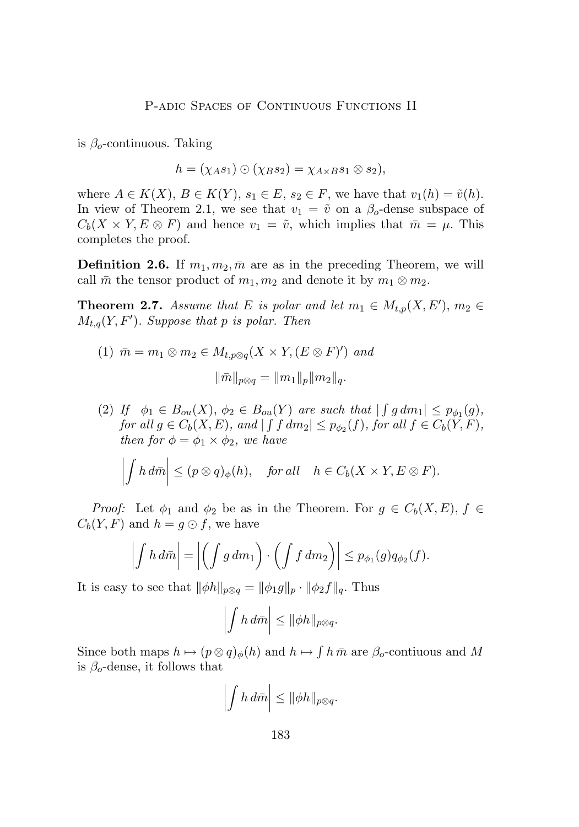is  $\beta_o$ -continuous. Taking

$$
h = (\chi_A s_1) \odot (\chi_B s_2) = \chi_{A \times B} s_1 \otimes s_2),
$$

where  $A \in K(X)$ ,  $B \in K(Y)$ ,  $s_1 \in E$ ,  $s_2 \in F$ , we have that  $v_1(h) = \tilde{v}(h)$ . In view of Theorem 2.1, we see that  $v_1 = \tilde{v}$  on a  $\beta_o$ -dense subspace of  $C_b(X \times Y, E \otimes F)$  and hence  $v_1 = \tilde{v}$ , which implies that  $\bar{m} = \mu$ . This completes the proof.

**Definition 2.6.** If  $m_1, m_2, \bar{m}$  are as in the preceding Theorem, we will call  $\bar{m}$  the tensor product of  $m_1, m_2$  and denote it by  $m_1 \otimes m_2$ .

**Theorem 2.7.** *Assume that* E *is polar and let*  $m_1 \in M_{t,p}(X, E'), m_2 \in$  $M_{t,q}(Y, F')$ . Suppose that p is polar. Then

- (1)  $\bar{m} = m_1 \otimes m_2 \in M_{t,p\otimes q}(X \times Y, (E \otimes F)')$  and  $\|\bar{m}\|_{p\otimes q} = \|m_1\|_p \|m_2\|_q.$
- (2) If  $\phi_1 \in B_{ou}(X)$ ,  $\phi_2 \in B_{ou}(Y)$  are such that  $| \int g dm_1 | \leq p_{\phi_1}(g)$ ,  $for \ all \ g \in C_b(X, E)$ , and  $| \int f dm_2 | \leq p_{\phi_2}(f)$ ,  $for \ all \ f \in C_b(Y, F)$ , *then for*  $\phi = \phi_1 \times \phi_2$ *, we have*

$$
\left| \int h \, d\bar{m} \right| \leq (p \otimes q)_{\phi}(h), \quad \text{for all} \quad h \in C_b(X \times Y, E \otimes F).
$$

*Proof:* Let  $\phi_1$  and  $\phi_2$  be as in the Theorem. For  $g \in C_b(X, E)$ ,  $f \in$  $C_b(Y, F)$  and  $h = g \odot f$ , we have

$$
\left| \int h \, d\bar{m} \right| = \left| \left( \int g \, dm_1 \right) \cdot \left( \int f \, dm_2 \right) \right| \leq p_{\phi_1}(g) q_{\phi_2}(f).
$$

It is easy to see that  $\|\phi h\|_{p\otimes q} = \|\phi_1 g\|_p \cdot \|\phi_2 f\|_q$ . Thus

$$
\left|\int h\,d\bar{m}\right| \leq \|\phi h\|_{p\otimes q}.
$$

Since both maps  $h \mapsto (p \otimes q)_{\phi}(h)$  and  $h \mapsto \int h \bar{m}$  are  $\beta_o$ -contiuous and M is  $\beta_o$ -dense, it follows that

$$
\left|\int h\,d\bar{m}\right| \leq \|\phi h\|_{p\otimes q}.
$$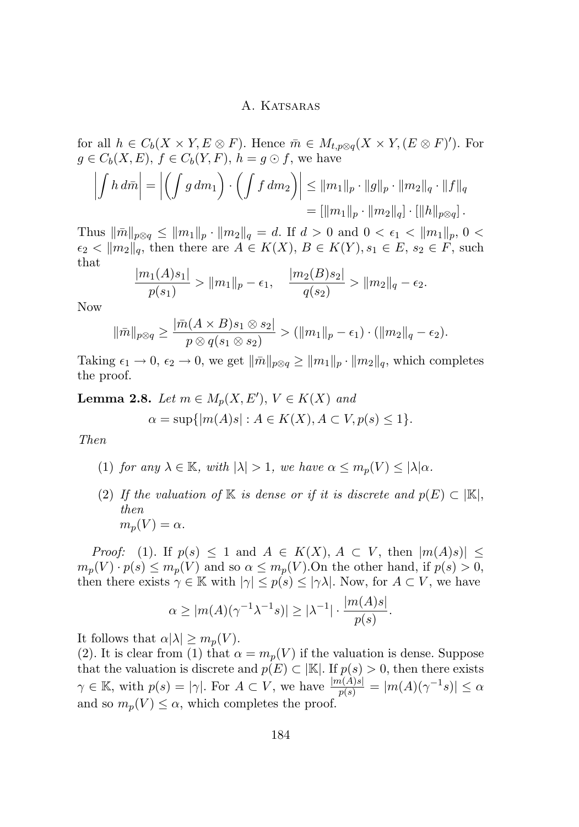for all  $h \in C_b(X \times Y, E \otimes F)$ . Hence  $\overline{m} \in M_{t,p \otimes q}(X \times Y, (E \otimes F)')$ . For  $g \in C_b(X, E), f \in C_b(Y, F), h = g \odot f$ , we have

$$
\left| \int h \, d\bar{m} \right| = \left| \left( \int g \, dm_1 \right) \cdot \left( \int f \, dm_2 \right) \right| \leq \|m_1\|_p \cdot \|g\|_p \cdot \|m_2\|_q \cdot \|f\|_q
$$

$$
= \left[ \|m_1\|_p \cdot \|m_2\|_q \right] \cdot \left[ \|h\|_{p\otimes q} \right].
$$

Thus  $\|\bar{m}\|_{p\otimes q} \leq \|m_1\|_p \cdot \|m_2\|_q = d$ . If  $d > 0$  and  $0 < \epsilon_1 < \|m_1\|_p$ ,  $0 <$  $\epsilon_2 < ||m_2||_q$ , then there are  $A \in K(X)$ ,  $B \in K(Y)$ ,  $s_1 \in E$ ,  $s_2 \in F$ , such that

$$
\frac{|m_1(A)s_1|}{p(s_1)} > ||m_1||_p - \epsilon_1, \quad \frac{|m_2(B)s_2|}{q(s_2)} > ||m_2||_q - \epsilon_2.
$$

Now

$$
\|\bar{m}\|_{p\otimes q} \ge \frac{|\bar{m}(A \times B)s_1 \otimes s_2|}{p \otimes q(s_1 \otimes s_2)} > (\|m_1\|_p - \epsilon_1) \cdot (\|m_2\|_q - \epsilon_2).
$$

Taking  $\epsilon_1 \to 0$ ,  $\epsilon_2 \to 0$ , we get  $\|\bar{m}\|_{p\otimes q} \ge \|m_1\|_p \cdot \|m_2\|_q$ , which completes the proof.

**Lemma 2.8.** *Let*  $m \in M_p(X, E'), V \in K(X)$  *and* 

$$
\alpha = \sup\{|m(A)s| : A \in K(X), A \subset V, p(s) \le 1\}.
$$

*Then*

- (1) *for any*  $\lambda \in \mathbb{K}$ *, with*  $|\lambda| > 1$ *, we have*  $\alpha \leq m_p(V) \leq |\lambda| \alpha$ *.*
- (2) *If the valuation of* K *is dense or if it is discrete and*  $p(E) \subset |\mathbb{K}|$ , *then*  $m_p(V) = \alpha$ .

*Proof:* (1). If  $p(s) \leq 1$  and  $A \in K(X)$ ,  $A \subset V$ , then  $|m(A)s| \leq$  $m_p(V) \cdot p(s) \leq m_p(V)$  and so  $\alpha \leq m_p(V)$ . On the other hand, if  $p(s) > 0$ , then there exists  $\gamma \in \mathbb{K}$  with  $|\gamma| \leq p(s) \leq |\gamma \lambda|$ . Now, for  $A \subset V$ , we have

$$
\alpha \ge |m(A)(\gamma^{-1}\lambda^{-1}s)| \ge |\lambda^{-1}| \cdot \frac{|m(A)s|}{p(s)}.
$$

It follows that  $\alpha |\lambda| \geq m_p(V)$ .

(2). It is clear from (1) that  $\alpha = m_p(V)$  if the valuation is dense. Suppose that the valuation is discrete and  $p(E) \subset |\mathbb{K}|$ . If  $p(s) > 0$ , then there exists  $\gamma \in \mathbb{K}$ , with  $p(s) = |\gamma|$ . For  $A \subset V$ , we have  $\frac{|m(A)s|}{p(s)} = |m(A)(\gamma^{-1}s)| \leq \alpha$ and so  $m_p(V) \leq \alpha$ , which completes the proof.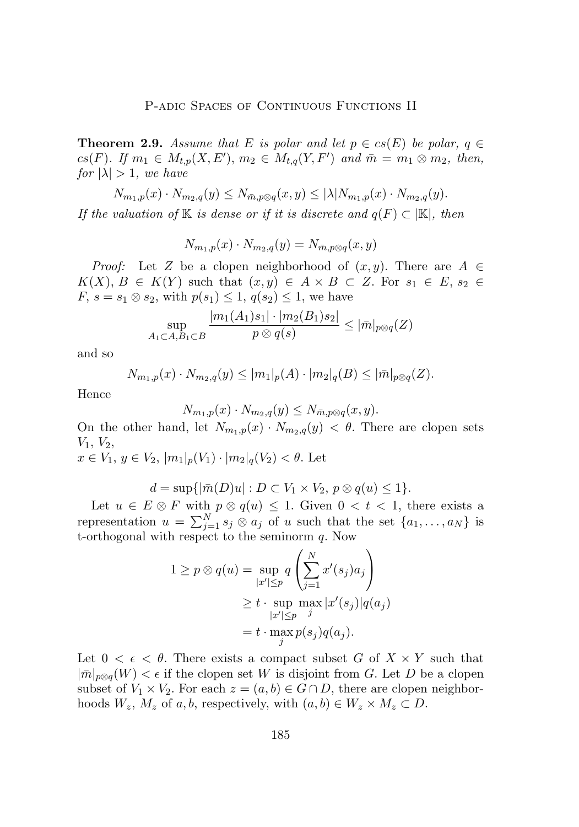**Theorem 2.9.** *Assume that* E *is polar and let*  $p \in cs(E)$  *be polar,*  $q \in$  $cs(F)$ *.* If  $m_1 \in M_{t,p}(X, E'), m_2 \in M_{t,q}(Y, F')$  and  $\bar{m} = m_1 \otimes m_2$ , then, *for*  $|\lambda| > 1$ *, we have* 

 $N_{m_1,p}(x) \cdot N_{m_2,q}(y) \leq N_{\bar{m},p \otimes q}(x,y) \leq |\lambda| N_{m_1,p}(x) \cdot N_{m_2,q}(y).$ 

*If the valuation of* K *is dense or if it is discrete and*  $q(F) \subset |\mathbb{K}|$ *, then* 

$$
N_{m_1,p}(x) \cdot N_{m_2,q}(y) = N_{\bar{m},p \otimes q}(x,y)
$$

*Proof:* Let Z be a clopen neighborhood of  $(x, y)$ . There are  $A \in$  $K(X), B \in K(Y)$  such that  $(x, y) \in A \times B \subset Z$ . For  $s_1 \in E$ ,  $s_2 \in$  $F, s = s_1 \otimes s_2$ , with  $p(s_1) \leq 1, q(s_2) \leq 1$ , we have

$$
\sup_{A_1 \subset A, B_1 \subset B} \frac{|m_1(A_1)s_1| \cdot |m_2(B_1)s_2|}{p \otimes q(s)} \le |\bar{m}|_{p \otimes q}(Z)
$$

and so

$$
N_{m_1,p}(x) \cdot N_{m_2,q}(y) \le |m_1|_p(A) \cdot |m_2|_q(B) \le |\bar{m}|_{p\otimes q}(Z).
$$

Hence

$$
N_{m_1,p}(x) \cdot N_{m_2,q}(y) \leq N_{\bar{m},p \otimes q}(x,y).
$$

On the other hand, let  $N_{m_1,p}(x) \cdot N_{m_2,q}(y) < \theta$ . There are clopen sets  $V_1, V_2,$ 

$$
x \in V_1, y \in V_2, |m_1|_p(V_1) \cdot |m_2|_q(V_2) < \theta
$$
. Let

$$
d = \sup\{|\bar{m}(D)u| : D \subset V_1 \times V_2, \ p \otimes q(u) \le 1\}.
$$

Let  $u \in E \otimes F$  with  $p \otimes q(u) \leq 1$ . Given  $0 < t < 1$ , there exists a representation  $u = \sum_{j=1}^{N} s_j \otimes a_j$  of u such that the set  $\{a_1, \ldots, a_N\}$  is t-orthogonal with respect to the seminorm  $q$ . Now

$$
1 \ge p \otimes q(u) = \sup_{|x'| \le p} q\left(\sum_{j=1}^N x'(s_j) a_j\right)
$$
  
 
$$
\ge t \cdot \sup_{|x'| \le p} \max_{j} |x'(s_j)| q(a_j)
$$
  
 
$$
= t \cdot \max_{j} p(s_j) q(a_j).
$$

Let  $0 < \epsilon < \theta$ . There exists a compact subset G of  $X \times Y$  such that  $|\bar{m}|_{p\otimes q}(W) < \epsilon$  if the clopen set W is disjoint from G. Let D be a clopen subset of  $V_1 \times V_2$ . For each  $z = (a, b) \in G \cap D$ , there are clopen neighborhoods  $W_z$ ,  $M_z$  of a, b, respectively, with  $(a, b) \in W_z \times M_z \subset D$ .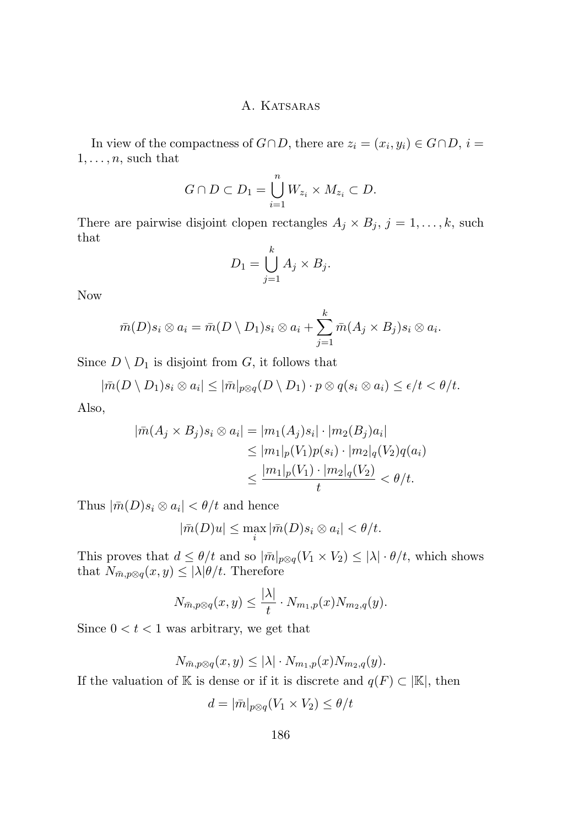In view of the compactness of  $G \cap D$ , there are  $z_i = (x_i, y_i) \in G \cap D$ ,  $i =$  $1, \ldots, n$ , such that

$$
G \cap D \subset D_1 = \bigcup_{i=1}^n W_{z_i} \times M_{z_i} \subset D.
$$

There are pairwise disjoint clopen rectangles  $A_j \times B_j$ ,  $j = 1, ..., k$ , such that

$$
D_1 = \bigcup_{j=1}^k A_j \times B_j.
$$

Now

$$
\bar{m}(D)s_i \otimes a_i = \bar{m}(D \setminus D_1)s_i \otimes a_i + \sum_{j=1}^k \bar{m}(A_j \times B_j)s_i \otimes a_i.
$$

Since  $D \setminus D_1$  is disjoint from G, it follows that

$$
|\bar{m}(D \setminus D_1)s_i \otimes a_i| \leq |\bar{m}|_{p\otimes q}(D \setminus D_1) \cdot p \otimes q(s_i \otimes a_i) \leq \epsilon/t < \theta/t.
$$

Also,

$$
|\bar{m}(A_j \times B_j)s_i \otimes a_i| = |m_1(A_j)s_i| \cdot |m_2(B_j)a_i|
$$
  
\n
$$
\leq |m_1|_p(V_1)p(s_i) \cdot |m_2|_q(V_2)q(a_i)
$$
  
\n
$$
\leq \frac{|m_1|_p(V_1) \cdot |m_2|_q(V_2)}{t} < \theta/t.
$$

Thus  $|\bar{m}(D)s_i \otimes a_i| < \theta/t$  and hence

$$
|\bar{m}(D)u| \leq \max_{i} |\bar{m}(D)s_i \otimes a_i| < \theta/t.
$$

This proves that  $d \leq \theta/t$  and so  $|\bar{m}|_{p\otimes q}(V_1 \times V_2) \leq |\lambda| \cdot \theta/t$ , which shows that  $N_{\bar{m},p\otimes q}(x,y) \leq |\lambda|\theta/t$ . Therefore

$$
N_{\bar{m},p\otimes q}(x,y) \le \frac{|\lambda|}{t} \cdot N_{m_1,p}(x) N_{m_2,q}(y).
$$

Since  $0 < t < 1$  was arbitrary, we get that

$$
N_{\bar{m},p\otimes q}(x,y) \leq |\lambda| \cdot N_{m_1,p}(x) N_{m_2,q}(y).
$$

If the valuation of K is dense or if it is discrete and  $q(F) \subset |\mathbb{K}|$ , then

$$
d = |\bar{m}|_{p \otimes q}(V_1 \times V_2) \le \theta/t
$$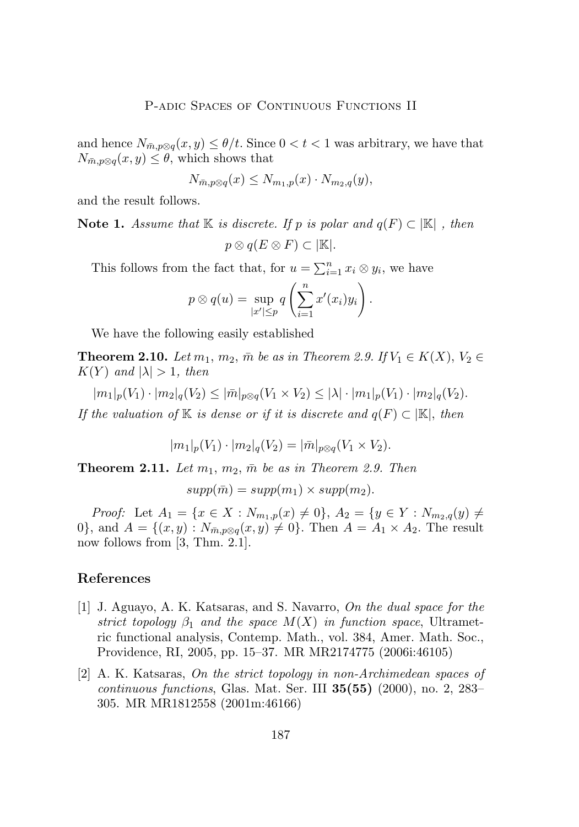<span id="page-19-0"></span>and hence  $N_{\bar{m},p\otimes q}(x,y) \leq \theta/t$ . Since  $0 < t < 1$  was arbitrary, we have that  $N_{\bar{m},p\otimes q}(x, y) \leq \theta$ , which shows that

$$
N_{\bar{m},p\otimes q}(x) \le N_{m_1,p}(x) \cdot N_{m_2,q}(y),
$$

and the result follows.

**Note 1.** *Assume that*  $\mathbb{K}$  *is discrete. If* p *is polar and*  $q(F) \subset \mathbb{K}$ , *then*  $p \otimes q(E \otimes F) \subset |\mathbb{K}|.$ 

This follows from the fact that, for  $u = \sum_{i=1}^{n} x_i \otimes y_i$ , we have

$$
p \otimes q(u) = \sup_{|x'| \leq p} q\left(\sum_{i=1}^n x'(x_i)y_i\right).
$$

We have the following easily established

**Theorem 2.10.** *Let*  $m_1, m_2, \bar{m}$  *be as in Theorem 2.9. If*  $V_1 \in K(X)$ ,  $V_2 \in$  $K(Y)$  and  $|\lambda| > 1$ , then

 $|m_1|_p(V_1) \cdot |m_2|_q(V_2) \leq |\bar{m}|_{p\otimes q}(V_1 \times V_2) \leq |\lambda| \cdot |m_1|_p(V_1) \cdot |m_2|_q(V_2).$ 

*If the valuation of* K *is dense or if it is discrete and*  $q(F) \subset |\mathbb{K}|$ , *then* 

$$
|m_1|_p(V_1) \cdot |m_2|_q(V_2) = |\bar{m}|_{p \otimes q}(V_1 \times V_2).
$$

**Theorem 2.11.** Let  $m_1$ ,  $m_2$ ,  $\bar{m}$  be as in Theorem 2.9. Then

$$
supp(\bar{m}) = supp(m_1) \times supp(m_2).
$$

*Proof:* Let  $A_1 = \{x \in X : N_{m_1,p}(x) \neq 0\}, A_2 = \{y \in Y : N_{m_2,q}(y) \neq 0\}$ 0, and  $A = \{(x, y) : N_{\bar{m}, p \otimes q}(x, y) \neq 0\}$ . Then  $A = A_1 \times A_2$ . The result now follows from [\[3,](#page-20-0) Thm. 2.1].

#### **References**

- [1] J. Aguayo, A. K. Katsaras, and S. Navarro, *On the dual space for the strict topology*  $\beta_1$  *and the space*  $M(X)$  *in function space*, Ultrametric functional analysis, Contemp. Math., vol. 384, Amer. Math. Soc., Providence, RI, 2005, pp. 15–37. MR MR2174775 (2006i:46105)
- [2] A. K. Katsaras, *On the strict topology in non-Archimedean spaces of continuous functions*, Glas. Mat. Ser. III **35(55)** (2000), no. 2, 283– 305. MR MR1812558 (2001m:46166)